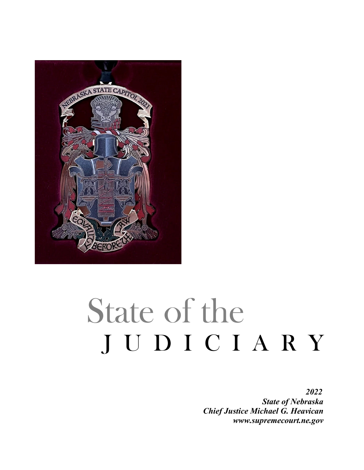

# State of the JUDICIARY

*2022 State of Nebraska Chief Justice Michael G. Heavican www.supremecourt.ne.gov*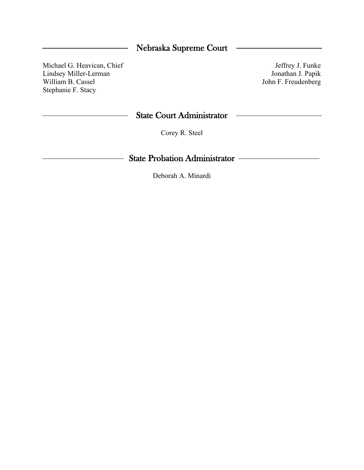# Nebraska Supreme Court

Michael G. Heavican, Chief Lindsey Miller-Lerman William B. Cassel Stephanie F. Stacy

Jeffrey J. Funke Jonathan J. Papik John F. Freudenberg

## State Court Administrator

Corey R. Steel

# State Probation Administrator

Deborah A. Minardi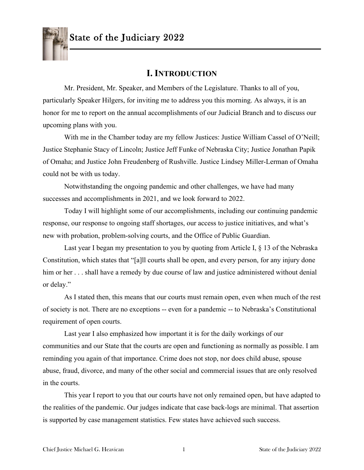

# **I. INTRODUCTION**

Mr. President, Mr. Speaker, and Members of the Legislature. Thanks to all of you, particularly Speaker Hilgers, for inviting me to address you this morning. As always, it is an honor for me to report on the annual accomplishments of our Judicial Branch and to discuss our upcoming plans with you.

With me in the Chamber today are my fellow Justices: Justice William Cassel of O'Neill; Justice Stephanie Stacy of Lincoln; Justice Jeff Funke of Nebraska City; Justice Jonathan Papik of Omaha; and Justice John Freudenberg of Rushville. Justice Lindsey Miller-Lerman of Omaha could not be with us today.

Notwithstanding the ongoing pandemic and other challenges, we have had many successes and accomplishments in 2021, and we look forward to 2022.

Today I will highlight some of our accomplishments, including our continuing pandemic response, our response to ongoing staff shortages, our access to justice initiatives, and what's new with probation, problem-solving courts, and the Office of Public Guardian.

Last year I began my presentation to you by quoting from Article I, § 13 of the Nebraska Constitution, which states that "[a]ll courts shall be open, and every person, for any injury done him or her . . . shall have a remedy by due course of law and justice administered without denial or delay."

As I stated then, this means that our courts must remain open, even when much of the rest of society is not. There are no exceptions -- even for a pandemic -- to Nebraska's Constitutional requirement of open courts.

Last year I also emphasized how important it is for the daily workings of our communities and our State that the courts are open and functioning as normally as possible. I am reminding you again of that importance. Crime does not stop, nor does child abuse, spouse abuse, fraud, divorce, and many of the other social and commercial issues that are only resolved in the courts.

This year I report to you that our courts have not only remained open, but have adapted to the realities of the pandemic. Our judges indicate that case back-logs are minimal. That assertion is supported by case management statistics. Few states have achieved such success.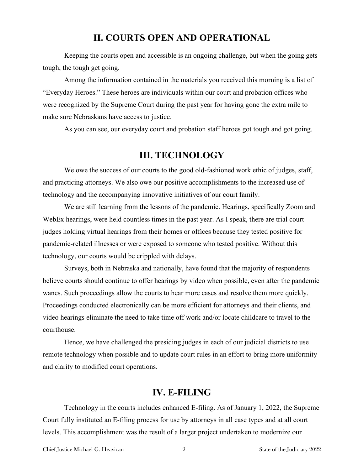# **II. COURTS OPEN AND OPERATIONAL**

Keeping the courts open and accessible is an ongoing challenge, but when the going gets tough, the tough get going.

Among the information contained in the materials you received this morning is a list of "Everyday Heroes." These heroes are individuals within our court and probation offices who were recognized by the Supreme Court during the past year for having gone the extra mile to make sure Nebraskans have access to justice.

As you can see, our everyday court and probation staff heroes got tough and got going.

## **III. TECHNOLOGY**

We owe the success of our courts to the good old-fashioned work ethic of judges, staff, and practicing attorneys. We also owe our positive accomplishments to the increased use of technology and the accompanying innovative initiatives of our court family.

We are still learning from the lessons of the pandemic. Hearings, specifically Zoom and WebEx hearings, were held countless times in the past year. As I speak, there are trial court judges holding virtual hearings from their homes or offices because they tested positive for pandemic-related illnesses or were exposed to someone who tested positive. Without this technology, our courts would be crippled with delays.

Surveys, both in Nebraska and nationally, have found that the majority of respondents believe courts should continue to offer hearings by video when possible, even after the pandemic wanes. Such proceedings allow the courts to hear more cases and resolve them more quickly. Proceedings conducted electronically can be more efficient for attorneys and their clients, and video hearings eliminate the need to take time off work and/or locate childcare to travel to the courthouse.

Hence, we have challenged the presiding judges in each of our judicial districts to use remote technology when possible and to update court rules in an effort to bring more uniformity and clarity to modified court operations.

# **IV. E-FILING**

Technology in the courts includes enhanced E-filing. As of January 1, 2022, the Supreme Court fully instituted an E-filing process for use by attorneys in all case types and at all court levels. This accomplishment was the result of a larger project undertaken to modernize our

Chief Justice Michael G. Heavican 2 State of the Judiciary 2022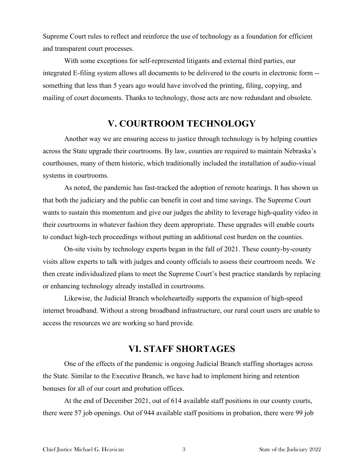Supreme Court rules to reflect and reinforce the use of technology as a foundation for efficient and transparent court processes.

With some exceptions for self-represented litigants and external third parties, our integrated E-filing system allows all documents to be delivered to the courts in electronic form - something that less than 5 years ago would have involved the printing, filing, copying, and mailing of court documents. Thanks to technology, those acts are now redundant and obsolete.

# **V. COURTROOM TECHNOLOGY**

Another way we are ensuring access to justice through technology is by helping counties across the State upgrade their courtrooms. By law, counties are required to maintain Nebraska's courthouses, many of them historic, which traditionally included the installation of audio-visual systems in courtrooms.

As noted, the pandemic has fast-tracked the adoption of remote hearings. It has shown us that both the judiciary and the public can benefit in cost and time savings. The Supreme Court wants to sustain this momentum and give our judges the ability to leverage high-quality video in their courtrooms in whatever fashion they deem appropriate. These upgrades will enable courts to conduct high-tech proceedings without putting an additional cost burden on the counties.

On-site visits by technology experts began in the fall of 2021. These county-by-county visits allow experts to talk with judges and county officials to assess their courtroom needs. We then create individualized plans to meet the Supreme Court's best practice standards by replacing or enhancing technology already installed in courtrooms.

Likewise, the Judicial Branch wholeheartedly supports the expansion of high-speed internet broadband. Without a strong broadband infrastructure, our rural court users are unable to access the resources we are working so hard provide.

## **VI. STAFF SHORTAGES**

One of the effects of the pandemic is ongoing Judicial Branch staffing shortages across the State. Similar to the Executive Branch, we have had to implement hiring and retention bonuses for all of our court and probation offices.

At the end of December 2021, out of 614 available staff positions in our county courts, there were 57 job openings. Out of 944 available staff positions in probation, there were 99 job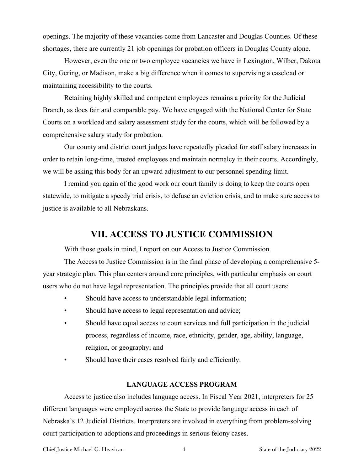openings. The majority of these vacancies come from Lancaster and Douglas Counties. Of these shortages, there are currently 21 job openings for probation officers in Douglas County alone.

However, even the one or two employee vacancies we have in Lexington, Wilber, Dakota City, Gering, or Madison, make a big difference when it comes to supervising a caseload or maintaining accessibility to the courts.

Retaining highly skilled and competent employees remains a priority for the Judicial Branch, as does fair and comparable pay. We have engaged with the National Center for State Courts on a workload and salary assessment study for the courts, which will be followed by a comprehensive salary study for probation.

Our county and district court judges have repeatedly pleaded for staff salary increases in order to retain long-time, trusted employees and maintain normalcy in their courts. Accordingly, we will be asking this body for an upward adjustment to our personnel spending limit.

I remind you again of the good work our court family is doing to keep the courts open statewide, to mitigate a speedy trial crisis, to defuse an eviction crisis, and to make sure access to justice is available to all Nebraskans.

## **VII. ACCESS TO JUSTICE COMMISSION**

With those goals in mind, I report on our Access to Justice Commission.

The Access to Justice Commission is in the final phase of developing a comprehensive 5 year strategic plan. This plan centers around core principles, with particular emphasis on court users who do not have legal representation. The principles provide that all court users:

- Should have access to understandable legal information;
- Should have access to legal representation and advice;
- Should have equal access to court services and full participation in the judicial process, regardless of income, race, ethnicity, gender, age, ability, language, religion, or geography; and
- Should have their cases resolved fairly and efficiently.

## **LANGUAGE ACCESS PROGRAM**

Access to justice also includes language access. In Fiscal Year 2021, interpreters for 25 different languages were employed across the State to provide language access in each of Nebraska's 12 Judicial Districts. Interpreters are involved in everything from problem-solving court participation to adoptions and proceedings in serious felony cases.

Chief Justice Michael G. Heavican 4 3 State of the Judiciary 2022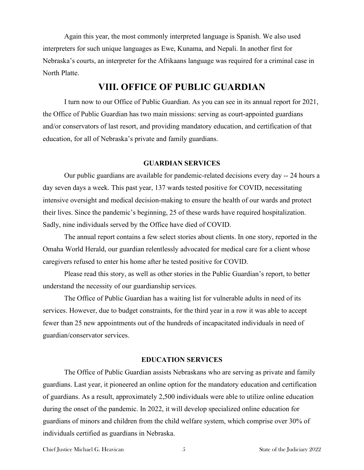Again this year, the most commonly interpreted language is Spanish. We also used interpreters for such unique languages as Ewe, Kunama, and Nepali. In another first for Nebraska's courts, an interpreter for the Afrikaans language was required for a criminal case in North Platte.

# **VIII. OFFICE OF PUBLIC GUARDIAN**

I turn now to our Office of Public Guardian. As you can see in its annual report for 2021, the Office of Public Guardian has two main missions: serving as court-appointed guardians and/or conservators of last resort, and providing mandatory education, and certification of that education, for all of Nebraska's private and family guardians.

#### **GUARDIAN SERVICES**

Our public guardians are available for pandemic-related decisions every day -- 24 hours a day seven days a week. This past year, 137 wards tested positive for COVID, necessitating intensive oversight and medical decision-making to ensure the health of our wards and protect their lives. Since the pandemic's beginning, 25 of these wards have required hospitalization. Sadly, nine individuals served by the Office have died of COVID.

The annual report contains a few select stories about clients. In one story, reported in the Omaha World Herald, our guardian relentlessly advocated for medical care for a client whose caregivers refused to enter his home after he tested positive for COVID.

Please read this story, as well as other stories in the Public Guardian's report, to better understand the necessity of our guardianship services.

The Office of Public Guardian has a waiting list for vulnerable adults in need of its services. However, due to budget constraints, for the third year in a row it was able to accept fewer than 25 new appointments out of the hundreds of incapacitated individuals in need of guardian/conservator services.

## **EDUCATION SERVICES**

The Office of Public Guardian assists Nebraskans who are serving as private and family guardians. Last year, it pioneered an online option for the mandatory education and certification of guardians. As a result, approximately 2,500 individuals were able to utilize online education during the onset of the pandemic. In 2022, it will develop specialized online education for guardians of minors and children from the child welfare system, which comprise over 30% of individuals certified as guardians in Nebraska.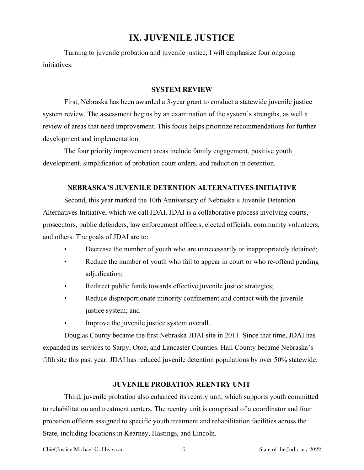# **IX. JUVENILE JUSTICE**

Turning to juvenile probation and juvenile justice, I will emphasize four ongoing initiatives.

### **SYSTEM REVIEW**

First, Nebraska has been awarded a 3-year grant to conduct a statewide juvenile justice system review. The assessment begins by an examination of the system's strengths, as well a review of areas that need improvement. This focus helps prioritize recommendations for further development and implementation.

The four priority improvement areas include family engagement, positive youth development, simplification of probation court orders, and reduction in detention.

## **NEBRASKA'S JUVENILE DETENTION ALTERNATIVES INITIATIVE**

Second, this year marked the 10th Anniversary of Nebraska's Juvenile Detention Alternatives Initiative, which we call JDAI. JDAI is a collaborative process involving courts, prosecutors, public defenders, law enforcement officers, elected officials, community volunteers, and others. The goals of JDAI are to:

- Decrease the number of youth who are unnecessarily or inappropriately detained;
- Reduce the number of youth who fail to appear in court or who re-offend pending adjudication;
- Redirect public funds towards effective juvenile justice strategies;
- Reduce disproportionate minority confinement and contact with the juvenile justice system; and
- Improve the juvenile justice system overall.

Douglas County became the first Nebraska JDAI site in 2011. Since that time, JDAI has expanded its services to Sarpy, Otoe, and Lancaster Counties. Hall County became Nebraska's fifth site this past year. JDAI has reduced juvenile detention populations by over 50% statewide.

### **JUVENILE PROBATION REENTRY UNIT**

Third, juvenile probation also enhanced its reentry unit, which supports youth committed to rehabilitation and treatment centers. The reentry unit is comprised of a coordinator and four probation officers assigned to specific youth treatment and rehabilitation facilities across the State, including locations in Kearney, Hastings, and Lincoln.

Chief Justice Michael G. Heavican 6 6 6 8 State of the Judiciary 2022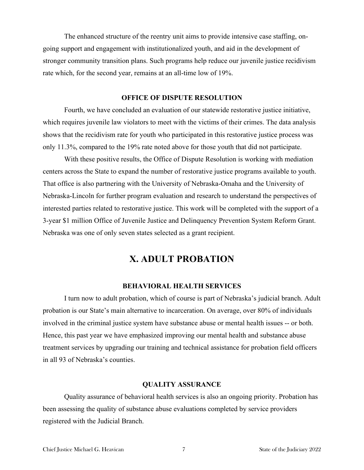The enhanced structure of the reentry unit aims to provide intensive case staffing, ongoing support and engagement with institutionalized youth, and aid in the development of stronger community transition plans. Such programs help reduce our juvenile justice recidivism rate which, for the second year, remains at an all-time low of 19%.

## **OFFICE OF DISPUTE RESOLUTION**

Fourth, we have concluded an evaluation of our statewide restorative justice initiative, which requires juvenile law violators to meet with the victims of their crimes. The data analysis shows that the recidivism rate for youth who participated in this restorative justice process was only 11.3%, compared to the 19% rate noted above for those youth that did not participate.

With these positive results, the Office of Dispute Resolution is working with mediation centers across the State to expand the number of restorative justice programs available to youth. That office is also partnering with the University of Nebraska-Omaha and the University of Nebraska-Lincoln for further program evaluation and research to understand the perspectives of interested parties related to restorative justice. This work will be completed with the support of a 3-year \$1 million Office of Juvenile Justice and Delinquency Prevention System Reform Grant. Nebraska was one of only seven states selected as a grant recipient.

## **X. ADULT PROBATION**

#### **BEHAVIORAL HEALTH SERVICES**

I turn now to adult probation, which of course is part of Nebraska's judicial branch. Adult probation is our State's main alternative to incarceration. On average, over 80% of individuals involved in the criminal justice system have substance abuse or mental health issues -- or both. Hence, this past year we have emphasized improving our mental health and substance abuse treatment services by upgrading our training and technical assistance for probation field officers in all 93 of Nebraska's counties.

### **QUALITY ASSURANCE**

Quality assurance of behavioral health services is also an ongoing priority. Probation has been assessing the quality of substance abuse evaluations completed by service providers registered with the Judicial Branch.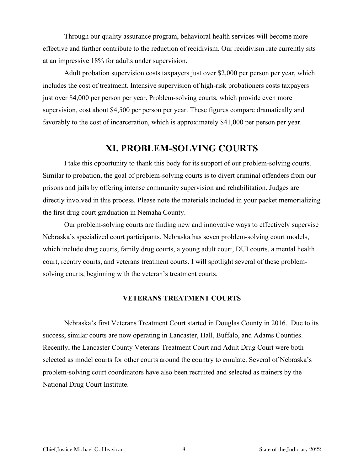Through our quality assurance program, behavioral health services will become more effective and further contribute to the reduction of recidivism. Our recidivism rate currently sits at an impressive 18% for adults under supervision.

Adult probation supervision costs taxpayers just over \$2,000 per person per year, which includes the cost of treatment. Intensive supervision of high-risk probationers costs taxpayers just over \$4,000 per person per year. Problem-solving courts, which provide even more supervision, cost about \$4,500 per person per year. These figures compare dramatically and favorably to the cost of incarceration, which is approximately \$41,000 per person per year.

# **XI. PROBLEM-SOLVING COURTS**

I take this opportunity to thank this body for its support of our problem-solving courts. Similar to probation, the goal of problem-solving courts is to divert criminal offenders from our prisons and jails by offering intense community supervision and rehabilitation. Judges are directly involved in this process. Please note the materials included in your packet memorializing the first drug court graduation in Nemaha County.

Our problem-solving courts are finding new and innovative ways to effectively supervise Nebraska's specialized court participants. Nebraska has seven problem-solving court models, which include drug courts, family drug courts, a young adult court, DUI courts, a mental health court, reentry courts, and veterans treatment courts. I will spotlight several of these problemsolving courts, beginning with the veteran's treatment courts.

## **VETERANS TREATMENT COURTS**

Nebraska's first Veterans Treatment Court started in Douglas County in 2016. Due to its success, similar courts are now operating in Lancaster, Hall, Buffalo, and Adams Counties. Recently, the Lancaster County Veterans Treatment Court and Adult Drug Court were both selected as model courts for other courts around the country to emulate. Several of Nebraska's problem-solving court coordinators have also been recruited and selected as trainers by the National Drug Court Institute.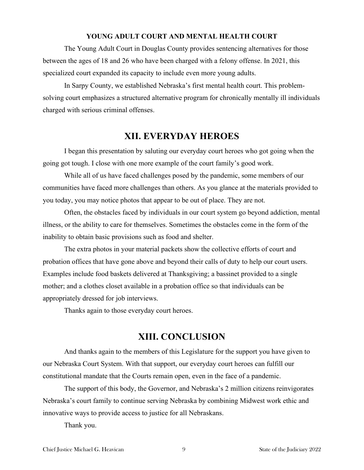#### **YOUNG ADULT COURT AND MENTAL HEALTH COURT**

The Young Adult Court in Douglas County provides sentencing alternatives for those between the ages of 18 and 26 who have been charged with a felony offense. In 2021, this specialized court expanded its capacity to include even more young adults.

In Sarpy County, we established Nebraska's first mental health court. This problemsolving court emphasizes a structured alternative program for chronically mentally ill individuals charged with serious criminal offenses.

# **XII. EVERYDAY HEROES**

I began this presentation by saluting our everyday court heroes who got going when the going got tough. I close with one more example of the court family's good work.

While all of us have faced challenges posed by the pandemic, some members of our communities have faced more challenges than others. As you glance at the materials provided to you today, you may notice photos that appear to be out of place. They are not.

Often, the obstacles faced by individuals in our court system go beyond addiction, mental illness, or the ability to care for themselves. Sometimes the obstacles come in the form of the inability to obtain basic provisions such as food and shelter.

The extra photos in your material packets show the collective efforts of court and probation offices that have gone above and beyond their calls of duty to help our court users. Examples include food baskets delivered at Thanksgiving; a bassinet provided to a single mother; and a clothes closet available in a probation office so that individuals can be appropriately dressed for job interviews.

Thanks again to those everyday court heroes.

# **XIII. CONCLUSION**

And thanks again to the members of this Legislature for the support you have given to our Nebraska Court System. With that support, our everyday court heroes can fulfill our constitutional mandate that the Courts remain open, even in the face of a pandemic.

The support of this body, the Governor, and Nebraska's 2 million citizens reinvigorates Nebraska's court family to continue serving Nebraska by combining Midwest work ethic and innovative ways to provide access to justice for all Nebraskans.

Thank you.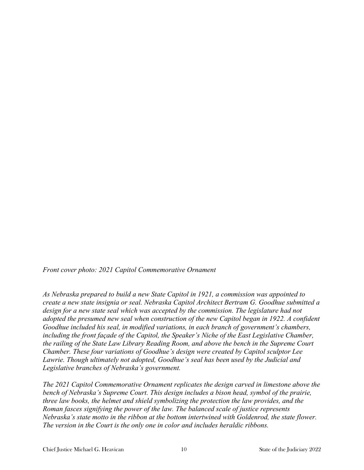*Front cover photo: 2021 Capitol Commemorative Ornament*

*As Nebraska prepared to build a new State Capitol in 1921, a commission was appointed to create a new state insignia or seal. Nebraska Capitol Architect Bertram G. Goodhue submitted a*  design for a new state seal which was accepted by the commission. The legislature had not *adopted the presumed new seal when construction of the new Capitol began in 1922. A confident Goodhue included his seal, in modified variations, in each branch of government's chambers, including the front façade of the Capitol, the Speaker's Niche of the East Legislative Chamber, the railing of the State Law Library Reading Room, and above the bench in the Supreme Court Chamber. These four variations of Goodhue's design were created by Capitol sculptor Lee Lawrie. Though ultimately not adopted, Goodhue's seal has been used by the Judicial and Legislative branches of Nebraska's government.*

*The 2021 Capitol Commemorative Ornament replicates the design carved in limestone above the bench of Nebraska's Supreme Court. This design includes a bison head, symbol of the prairie, three law books, the helmet and shield symbolizing the protection the law provides, and the Roman fasces signifying the power of the law. The balanced scale of justice represents Nebraska's state motto in the ribbon at the bottom intertwined with Goldenrod, the state flower. The version in the Court is the only one in color and includes heraldic ribbons.*